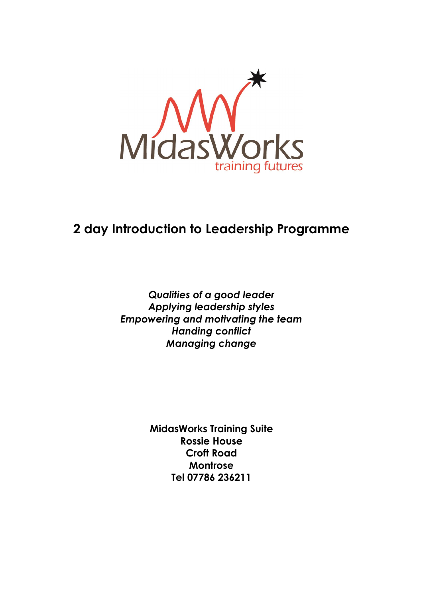

# **2 day Introduction to Leadership Programme**

*Qualities of a good leader Applying leadership styles Empowering and motivating the team Handing conflict Managing change*

> **MidasWorks Training Suite Rossie House Croft Road Montrose Tel 07786 236211**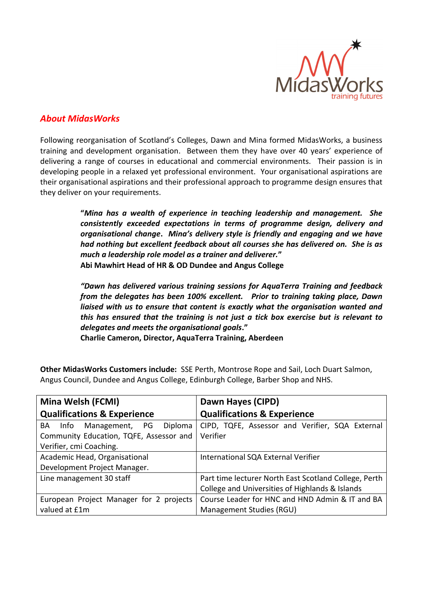

# *About MidasWorks*

Following reorganisation of Scotland's Colleges, Dawn and Mina formed MidasWorks, a business training and development organisation. Between them they have over 40 years' experience of delivering a range of courses in educational and commercial environments. Their passion is in developing people in a relaxed yet professional environment. Your organisational aspirations are their organisational aspirations and their professional approach to programme design ensures that they deliver on your requirements.

> **"***Mina has a wealth of experience in teaching leadership and management. She consistently exceeded expectations in terms of programme design, delivery and organisational change***.** *Mina's delivery style is friendly and engaging and we have had nothing but excellent feedback about all courses she has delivered on. She is as much a leadership role model as a trainer and deliverer.***" Abi Mawhirt Head of HR & OD Dundee and Angus College**

> *"Dawn has delivered various training sessions for AquaTerra Training and feedback from the delegates has been 100% excellent. Prior to training taking place, Dawn liaised with us to ensure that content is exactly what the organisation wanted and this has ensured that the training is not just a tick box exercise but is relevant to delegates and meets the organisational goals***."**

**Charlie Cameron, Director, AquaTerra Training, Aberdeen**

**Other MidasWorks Customers include:** SSE Perth, Montrose Rope and Sail, Loch Duart Salmon, Angus Council, Dundee and Angus College, Edinburgh College, Barber Shop and NHS.

| Mina Welsh (FCMI)                       | Dawn Hayes (CIPD)                                     |
|-----------------------------------------|-------------------------------------------------------|
| <b>Qualifications &amp; Experience</b>  | <b>Qualifications &amp; Experience</b>                |
| PG Diploma<br>Management,<br>BA<br>Info | CIPD, TQFE, Assessor and Verifier, SQA External       |
| Community Education, TQFE, Assessor and | Verifier                                              |
| Verifier, cmi Coaching.                 |                                                       |
| Academic Head, Organisational           | International SQA External Verifier                   |
| Development Project Manager.            |                                                       |
| Line management 30 staff                | Part time lecturer North East Scotland College, Perth |
|                                         | College and Universities of Highlands & Islands       |
| European Project Manager for 2 projects | Course Leader for HNC and HND Admin & IT and BA       |
| valued at £1m                           | Management Studies (RGU)                              |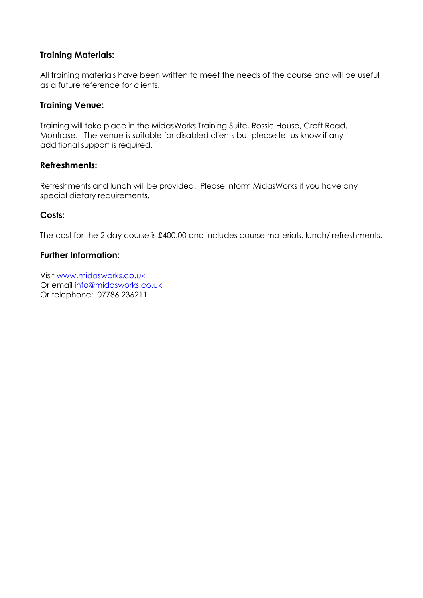## **Training Materials:**

All training materials have been written to meet the needs of the course and will be useful as a future reference for clients.

### **Training Venue:**

Training will take place in the MidasWorks Training Suite, Rossie House, Croft Road, Montrose. The venue is suitable for disabled clients but please let us know if any additional support is required.

### **Refreshments:**

Refreshments and lunch will be provided. Please inform MidasWorks if you have any special dietary requirements.

### **Costs:**

The cost for the 2 day course is £400.00 and includes course materials, lunch/ refreshments.

### **Further Information:**

Visit [www.midasworks.co.uk](http://www.midasworks.co.uk/) Or email [info@midasworks.co.uk](mailto:info@midasworks.co.uk) Or telephone: 07786 236211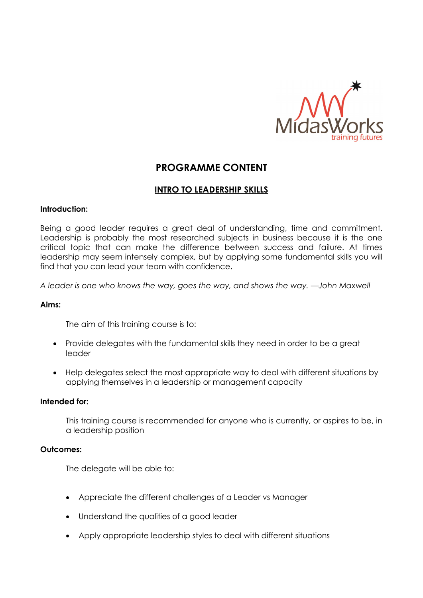

# **PROGRAMME CONTENT**

## **INTRO TO LEADERSHIP SKILLS**

### **Introduction:**

Being a good leader requires a great deal of understanding, time and commitment. Leadership is probably the most researched subjects in business because it is the one critical topic that can make the difference between success and failure. At times leadership may seem intensely complex, but by applying some fundamental skills you will find that you can lead your team with confidence.

*A leader is one who knows the way, goes the way, and shows the way. —John Maxwell*

### **Aims:**

The aim of this training course is to:

- Provide delegates with the fundamental skills they need in order to be a great leader
- Help delegates select the most appropriate way to deal with different situations by applying themselves in a leadership or management capacity

### **Intended for:**

This training course is recommended for anyone who is currently, or aspires to be, in a leadership position

### **Outcomes:**

The delegate will be able to:

- Appreciate the different challenges of a Leader vs Manager
- Understand the qualities of a good leader
- Apply appropriate leadership styles to deal with different situations